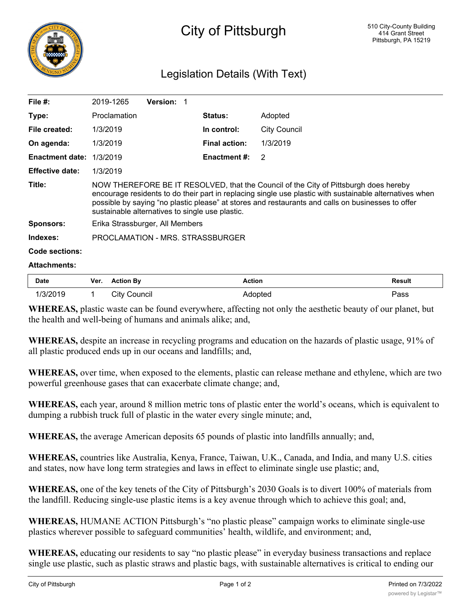

## City of Pittsburgh

## Legislation Details (With Text)

| File $#$ :                      | 2019-1265                                                                                                                                                                                                                                                                                                                                               | <b>Version: 1</b> |                      |                |                     |  |  |
|---------------------------------|---------------------------------------------------------------------------------------------------------------------------------------------------------------------------------------------------------------------------------------------------------------------------------------------------------------------------------------------------------|-------------------|----------------------|----------------|---------------------|--|--|
| Type:                           | Proclamation                                                                                                                                                                                                                                                                                                                                            |                   |                      | <b>Status:</b> | Adopted             |  |  |
| File created:                   | 1/3/2019                                                                                                                                                                                                                                                                                                                                                |                   |                      | In control:    | <b>City Council</b> |  |  |
| On agenda:                      | 1/3/2019                                                                                                                                                                                                                                                                                                                                                |                   | <b>Final action:</b> | 1/3/2019       |                     |  |  |
| <b>Enactment date: 1/3/2019</b> |                                                                                                                                                                                                                                                                                                                                                         |                   | <b>Enactment #:</b>  | 2              |                     |  |  |
| <b>Effective date:</b>          | 1/3/2019                                                                                                                                                                                                                                                                                                                                                |                   |                      |                |                     |  |  |
| Title:                          | NOW THEREFORE BE IT RESOLVED, that the Council of the City of Pittsburgh does hereby<br>encourage residents to do their part in replacing single use plastic with sustainable alternatives when<br>possible by saying "no plastic please" at stores and restaurants and calls on businesses to offer<br>sustainable alternatives to single use plastic. |                   |                      |                |                     |  |  |
| <b>Sponsors:</b>                | Erika Strassburger, All Members                                                                                                                                                                                                                                                                                                                         |                   |                      |                |                     |  |  |
| Indexes:                        | PROCLAMATION - MRS. STRASSBURGER                                                                                                                                                                                                                                                                                                                        |                   |                      |                |                     |  |  |
| <b>Code sections:</b>           |                                                                                                                                                                                                                                                                                                                                                         |                   |                      |                |                     |  |  |
|                                 |                                                                                                                                                                                                                                                                                                                                                         |                   |                      |                |                     |  |  |

## **Attachments:**

| <b>Date</b> | Ver. | <b>Action By</b> | Action         | <b>Result</b> |
|-------------|------|------------------|----------------|---------------|
| 1/3/2019    |      | City Council     | <b>Adopted</b> | Pass          |

**WHEREAS,** plastic waste can be found everywhere, affecting not only the aesthetic beauty of our planet, but the health and well-being of humans and animals alike; and,

**WHEREAS,** despite an increase in recycling programs and education on the hazards of plastic usage, 91% of all plastic produced ends up in our oceans and landfills; and,

**WHEREAS,** over time, when exposed to the elements, plastic can release methane and ethylene, which are two powerful greenhouse gases that can exacerbate climate change; and,

**WHEREAS,** each year, around 8 million metric tons of plastic enter the world's oceans, which is equivalent to dumping a rubbish truck full of plastic in the water every single minute; and,

**WHEREAS,** the average American deposits 65 pounds of plastic into landfills annually; and,

**WHEREAS,** countries like Australia, Kenya, France, Taiwan, U.K., Canada, and India, and many U.S. cities and states, now have long term strategies and laws in effect to eliminate single use plastic; and,

**WHEREAS,** one of the key tenets of the City of Pittsburgh's 2030 Goals is to divert 100% of materials from the landfill. Reducing single-use plastic items is a key avenue through which to achieve this goal; and,

**WHEREAS,** HUMANE ACTION Pittsburgh's "no plastic please" campaign works to eliminate single-use plastics wherever possible to safeguard communities' health, wildlife, and environment; and,

**WHEREAS,** educating our residents to say "no plastic please" in everyday business transactions and replace single use plastic, such as plastic straws and plastic bags, with sustainable alternatives is critical to ending our